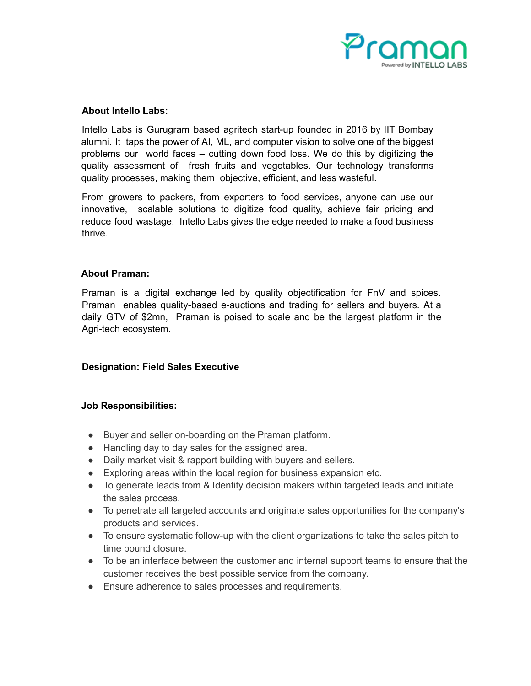

### **About Intello Labs:**

Intello Labs is Gurugram based agritech start-up founded in 2016 by IIT Bombay alumni. It taps the power of AI, ML, and computer vision to solve one of the biggest problems our world faces – cutting down food loss. We do this by digitizing the quality assessment of fresh fruits and vegetables. Our technology transforms quality processes, making them objective, efficient, and less wasteful.

From growers to packers, from exporters to food services, anyone can use our innovative, scalable solutions to digitize food quality, achieve fair pricing and reduce food wastage. Intello Labs gives the edge needed to make a food business thrive.

### **About Praman:**

Praman is a digital exchange led by quality objectification for FnV and spices. Praman enables quality-based e-auctions and trading for sellers and buyers. At a daily GTV of \$2mn, Praman is poised to scale and be the largest platform in the Agri-tech ecosystem.

# **Designation: Field Sales Executive**

#### **Job Responsibilities:**

- Buyer and seller on-boarding on the Praman platform.
- Handling day to day sales for the assigned area.
- Daily market visit & rapport building with buyers and sellers.
- Exploring areas within the local region for business expansion etc.
- To generate leads from & Identify decision makers within targeted leads and initiate the sales process.
- To penetrate all targeted accounts and originate sales opportunities for the company's products and services.
- To ensure systematic follow-up with the client organizations to take the sales pitch to time bound closure.
- To be an interface between the customer and internal support teams to ensure that the customer receives the best possible service from the company.
- Ensure adherence to sales processes and requirements.